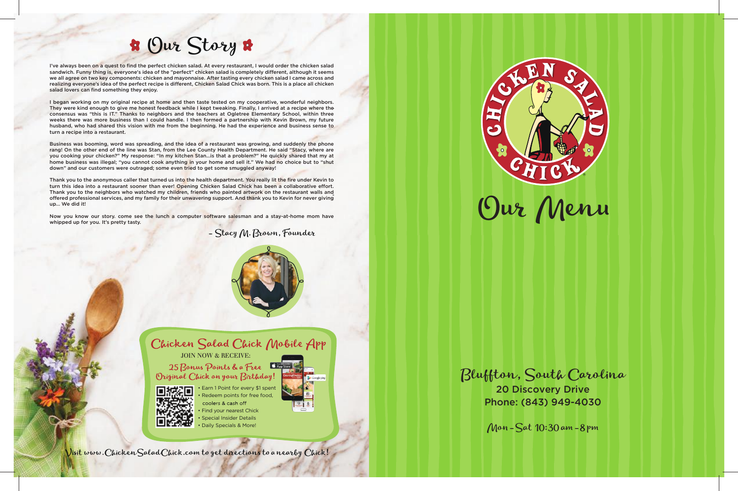# Our Story

Visit www.ChickenSaladChick.com to get directions to a nearby Chick!



- Stacy M. Brown, Founder



• Earn 1 Point for every \$1 spent Redeem points for free food, coolers & cash off • Find your nearest Chick **Special Insider Details** • Daily Specials & More!





25 Bonus Points & a Free Original Chick on your Birthday!



I've always been on a quest to find the perfect chicken salad. At every restaurant, I would order the chicken salad sandwich. Funny thing is, everyone's idea of the "perfect" chicken salad is completely different, although it seems we all agree on two key components: chicken and mayonnaise. After tasting every chicken salad I came across and realizing everyone's idea of the perfect recipe is different, Chicken Salad Chick was born. This is a place all chicken salad lovers can find something they enjoy.

I began working on my original recipe at home and then taste tested on my cooperative, wonderful neighbors. They were kind enough to give me honest feedback while I kept tweaking. Finally, I arrived at a recipe where the consensus was "this is IT." Thanks to neighbors and the teachers at Ogletree Elementary School, within three weeks there was more business than I could handle. I then formed a partnership with Kevin Brown, my future husband, who had shared this vision with me from the beginning. He had the experience and business sense to turn a recipe into a restaurant.

Thank you to the anonymous caller that turned us into the health department. You really lit the fire under Kevin to turn this idea into a restaurant sooner than ever! Opening Chicken Salad Chick has been a collaborative effort. Thank you to the neighbors who watched my children, friends who painted artwork on the restaurant walls and offered professional services, and my family for their unwavering support. And thank you to Kevin for never giving up… We did it!

Now you know our story. come see the lunch a computer software salesman and a stay-at-home mom have whipped up for you. It's pretty tasty.

Business was booming, word was spreading, and the idea of a restaurant was growing, and suddenly the phone rang! On the other end of the line was Stan, from the Lee County Health Department. He said "Stacy, where are you cooking your chicken?" My response: "In my kitchen Stan...is that a problem?" He quickly shared that my at home business was illegal; "you cannot cook anything in your home and sell it." We had no choice but to "shut down" and our customers were outraged; some even tried to get some smuggled anyway!

> Bluffton, South Carolina 20 Discovery Drive

Phone: (843) 949-4030

Mon-Sat 10:30 am-8 pm